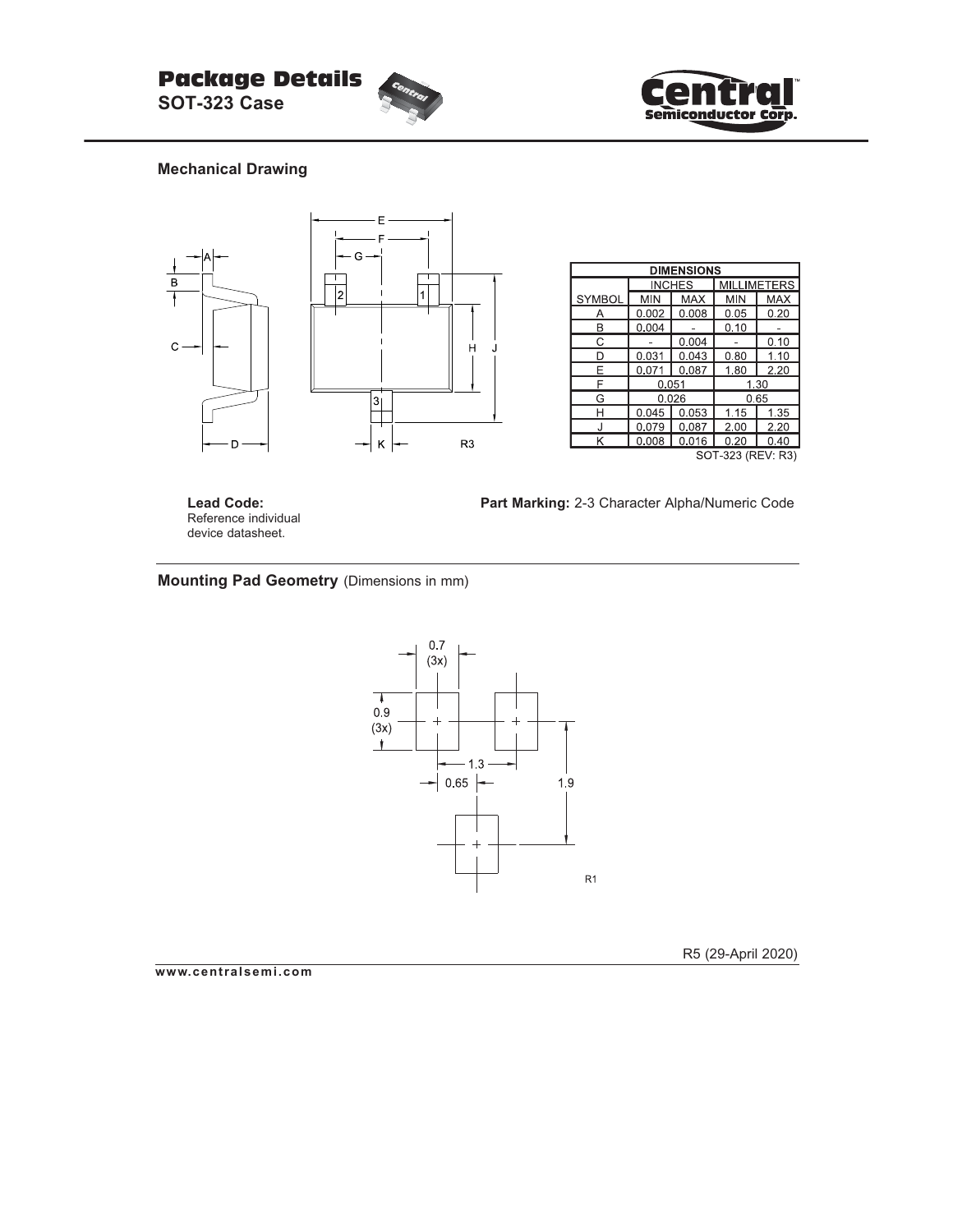



## **Mechanical Drawing**



| <b>DIMENSIONS</b> |       |               |                    |            |  |  |
|-------------------|-------|---------------|--------------------|------------|--|--|
|                   |       | <b>INCHES</b> | <b>MILLIMETERS</b> |            |  |  |
| <b>SYMBOL</b>     | MIN   | <b>MAX</b>    | <b>MIN</b>         | <b>MAX</b> |  |  |
|                   | 0.002 | 0.008         | 0.05               | 0.20       |  |  |
| В                 | 0.004 |               | 0.10               |            |  |  |
| C                 |       | 0.004         |                    | 0.10       |  |  |
| D                 | 0.031 | 0.043         | 0.80               | 1.10       |  |  |
| F                 | 0.071 | 0.087         | 180                | 2.20       |  |  |
| F                 | 0.051 |               | 1.30               |            |  |  |
| G                 | 0.026 |               | 0.65               |            |  |  |
| н                 | 0.045 | 0.053         | 1.15               | 1.35       |  |  |
|                   | 0.079 | 0.087         | 2.00               | 2.20       |  |  |
| Κ                 | 0.008 | 0.016         | 0.20               | 0.40       |  |  |
| SOT-323 (REV: R3) |       |               |                    |            |  |  |

**Lead Code:** Reference individual device datasheet.

**Part Marking:** 2-3 Character Alpha/Numeric Code

## **Mounting Pad Geometry** (Dimensions in mm)



R5 (29-April 2020)

**www.centralsemi.com**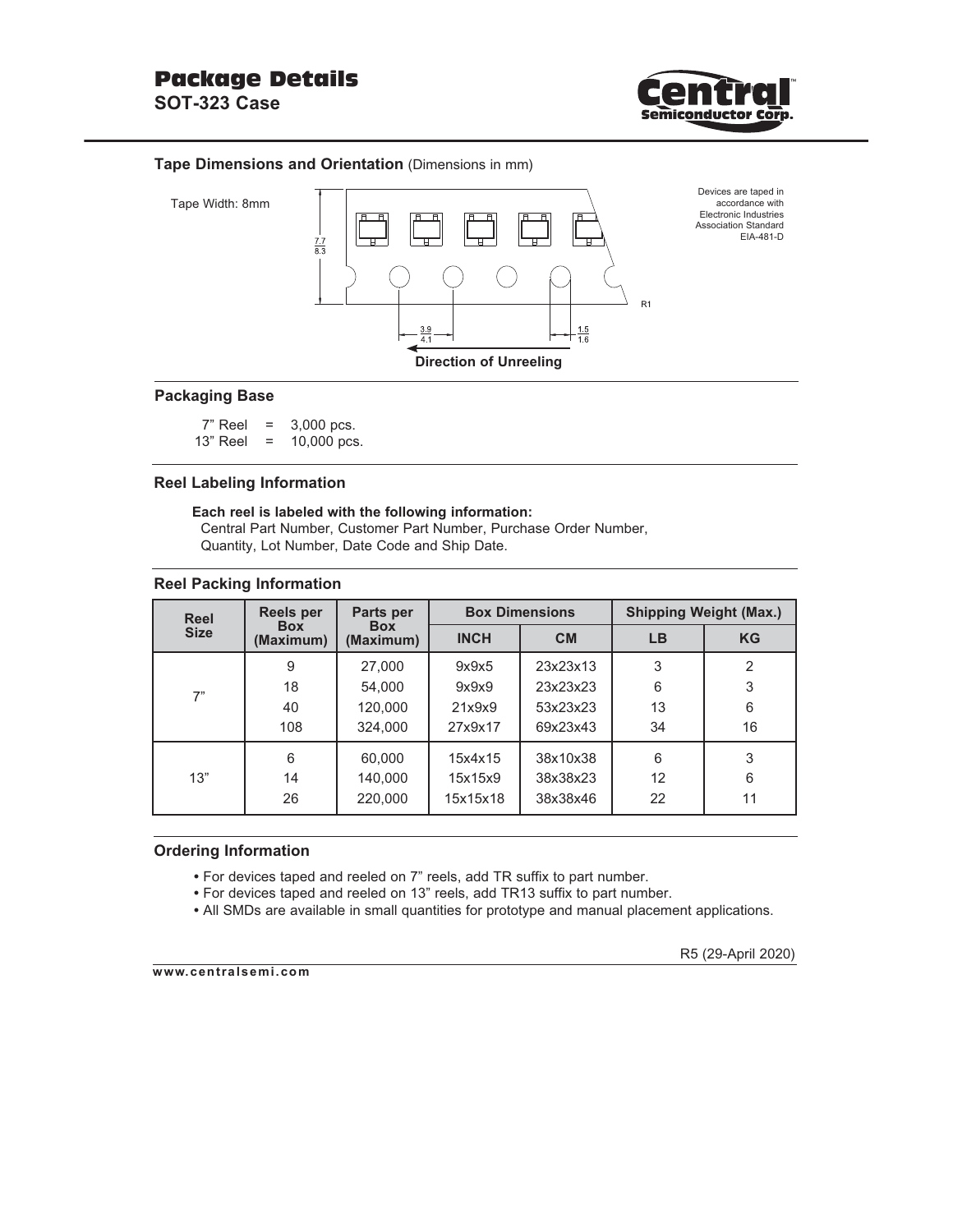

### **Tape Dimensions and Orientation** (Dimensions in mm)



## **Packaging Base**

 $7"$  Reel = 3,000 pcs. 13" Reel = 10,000 pcs.

## **Reel Labeling Information**

#### **Each reel is labeled with the following information:** Central Part Number, Customer Part Number, Purchase Order Number, Quantity, Lot Number, Date Code and Ship Date.

#### **Reel Packing Information**

| <b>Reel</b> | <b>Reels per</b>        | Parts per<br><b>Box</b><br>(Maximum) |             | <b>Box Dimensions</b> | <b>Shipping Weight (Max.)</b> |                |  |
|-------------|-------------------------|--------------------------------------|-------------|-----------------------|-------------------------------|----------------|--|
| <b>Size</b> | <b>Box</b><br>(Maximum) |                                      | <b>INCH</b> | <b>CM</b>             | LВ                            | <b>KG</b>      |  |
| 7"          | 9                       | 27,000                               | 9x9x5       | 23x23x13              | 3                             | $\mathfrak{p}$ |  |
|             | 18                      | 54.000                               | 9x9x9       | 23x23x23              | 6                             | 3              |  |
|             | 40                      | 120,000                              | 21x9x9      | 53x23x23              | 13                            | 6              |  |
|             | 108                     | 324.000                              | 27x9x17     | 69x23x43              | 34                            | 16             |  |
|             | 6                       | 60,000                               | 15x4x15     | 38x10x38              | 6                             | 3              |  |
| 13"         | 14                      | 140.000                              | 15x15x9     | 38x38x23              | 12                            | 6              |  |
|             | 26                      | 220,000                              | 15x15x18    | 38x38x46              | 22                            | 11             |  |

#### **Ordering Information**

- For devices taped and reeled on 7" reels, add TR suffix to part number.
- For devices taped and reeled on 13" reels, add TR13 suffix to part number.
- All SMDs are available in small quantities for prototype and manual placement applications.

**www.centralsemi.com**

R5 (29-April 2020)